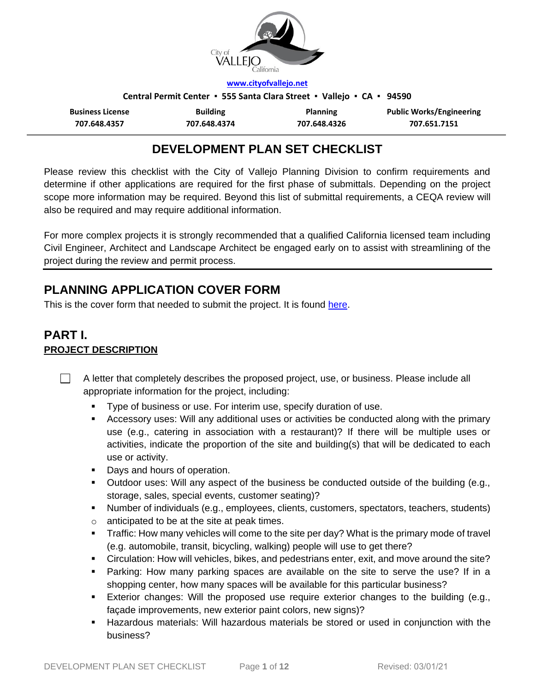

**[www.cityofvallejo.net](http://www.cityofvallejo.net/)**

**Central Permit Center ▪ 555 Santa Clara Street ▪ Vallejo ▪ CA ▪ 94590**

| <b>Business License</b> | <b>Building</b> | <b>Planning</b> | <b>Public Works/Engineering</b> |
|-------------------------|-----------------|-----------------|---------------------------------|
| 707.648.4357            | 707.648.4374    | 707.648.4326    | 707.651.7151                    |

# **DEVELOPMENT PLAN SET CHECKLIST**

Please review this checklist with the City of Vallejo Planning Division to confirm requirements and determine if other applications are required for the first phase of submittals. Depending on the project scope more information may be required. Beyond this list of submittal requirements, a CEQA review will also be required and may require additional information.

For more complex projects it is strongly recommended that a qualified California licensed team including Civil Engineer, Architect and Landscape Architect be engaged early on to assist with streamlining of the project during the review and permit process.

# **PLANNING APPLICATION COVER FORM**

This is the cover form that needed to submit the project. It is found [here.](https://www.cityofvallejo.net/common/pages/DisplayFile.aspx?itemId=48979)

# **PART I. PROJECT DESCRIPTION**

 $\perp$ A letter that completely describes the proposed project, use, or business. Please include all appropriate information for the project, including:

- Type of business or use. For interim use, specify duration of use.
- Accessory uses: Will any additional uses or activities be conducted along with the primary use (e.g., catering in association with a restaurant)? If there will be multiple uses or activities, indicate the proportion of the site and building(s) that will be dedicated to each use or activity.
- **Days and hours of operation.**
- Outdoor uses: Will any aspect of the business be conducted outside of the building (e.g., storage, sales, special events, customer seating)?
- Number of individuals (e.g., employees, clients, customers, spectators, teachers, students)
- o anticipated to be at the site at peak times.
- Traffic: How many vehicles will come to the site per day? What is the primary mode of travel (e.g. automobile, transit, bicycling, walking) people will use to get there?
- Circulation: How will vehicles, bikes, and pedestrians enter, exit, and move around the site?
- Parking: How many parking spaces are available on the site to serve the use? If in a shopping center, how many spaces will be available for this particular business?
- Exterior changes: Will the proposed use require exterior changes to the building (e.g., façade improvements, new exterior paint colors, new signs)?
- Hazardous materials: Will hazardous materials be stored or used in conjunction with the business?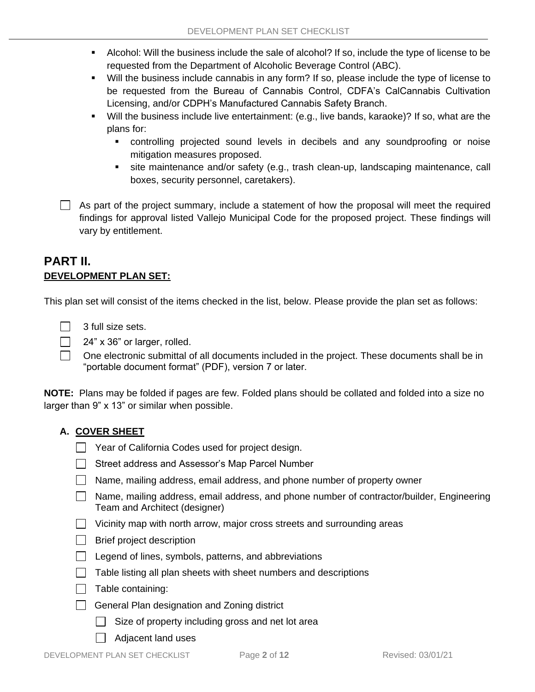- Alcohol: Will the business include the sale of alcohol? If so, include the type of license to be requested from the Department of Alcoholic Beverage Control (ABC).
- Will the business include cannabis in any form? If so, please include the type of license to be requested from the Bureau of Cannabis Control, CDFA's CalCannabis Cultivation Licensing, and/or CDPH's Manufactured Cannabis Safety Branch.
- Will the business include live entertainment: (e.g., live bands, karaoke)? If so, what are the plans for:
	- controlling projected sound levels in decibels and any soundproofing or noise mitigation measures proposed.
	- site maintenance and/or safety (e.g., trash clean-up, landscaping maintenance, call boxes, security personnel, caretakers).

 $\Box$  As part of the project summary, include a statement of how the proposal will meet the required findings for approval listed Vallejo Municipal Code for the proposed project. These findings will vary by entitlement.

## **PART II. DEVELOPMENT PLAN SET:**

This plan set will consist of the items checked in the list, below. Please provide the plan set as follows:



 $\Box$  $\Box$  24" x 36" or larger, rolled.

One electronic submittal of all documents included in the project. These documents shall be in "portable document format" (PDF), version 7 or later.

**NOTE:** Plans may be folded if pages are few. Folded plans should be collated and folded into a size no larger than 9" x 13" or similar when possible.

## **A. COVER SHEET**

- $\Box$  Year of California Codes used for project design.
- **Street address and Assessor's Map Parcel Number**
- Name, mailing address, email address, and phone number of property owner
- Name, mailing address, email address, and phone number of contractor/builder, Engineering Team and Architect (designer)
- $\Box$  Vicinity map with north arrow, major cross streets and surrounding areas
- $\Box$  Brief project description
- $\Box$  Legend of lines, symbols, patterns, and abbreviations
- $\Box$  Table listing all plan sheets with sheet numbers and descriptions
- $\Box$  Table containing:
- General Plan designation and Zoning district
	- $\Box$  Size of property including gross and net lot area
	- | Adjacent land uses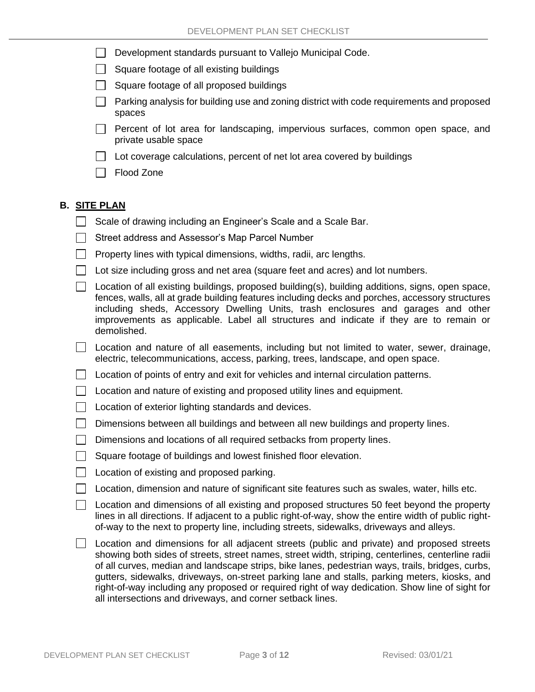$\Box$ Development standards pursuant to Vallejo Municipal Code.

 $\Box$  Square footage of all existing buildings

- $\Box$  Square footage of all proposed buildings
- $\Box$  Parking analysis for building use and zoning district with code requirements and proposed spaces
- **Percent of lot area for landscaping, impervious surfaces, common open space, and** private usable space
- Lot coverage calculations, percent of net lot area covered by buildings
- $\Box$  Flood Zone

## **B. SITE PLAN**

- $\Box$  Scale of drawing including an Engineer's Scale and a Scale Bar.
- ◯ Street address and Assessor's Map Parcel Number
- $\Box$  Property lines with typical dimensions, widths, radii, arc lengths.
- $\Box$  Lot size including gross and net area (square feet and acres) and lot numbers.
- $\Box$  Location of all existing buildings, proposed building(s), building additions, signs, open space, fences, walls, all at grade building features including decks and porches, accessory structures including sheds, Accessory Dwelling Units, trash enclosures and garages and other improvements as applicable. Label all structures and indicate if they are to remain or demolished.
- $\Box$  Location and nature of all easements, including but not limited to water, sewer, drainage, electric, telecommunications, access, parking, trees, landscape, and open space.
- $\Box$  Location of points of entry and exit for vehicles and internal circulation patterns.
- $\Box$  Location and nature of existing and proposed utility lines and equipment.
- $\Box$  Location of exterior lighting standards and devices.
- $\Box$  Dimensions between all buildings and between all new buildings and property lines.
- Dimensions and locations of all required setbacks from property lines.
- $\Box$ Square footage of buildings and lowest finished floor elevation.
- **Location of existing and proposed parking.**
- $\Box$  Location, dimension and nature of significant site features such as swales, water, hills etc.
- $\Box$  Location and dimensions of all existing and proposed structures 50 feet beyond the property lines in all directions. If adjacent to a public right-of-way, show the entire width of public rightof-way to the next to property line, including streets, sidewalks, driveways and alleys.
- $\Box$ Location and dimensions for all adjacent streets (public and private) and proposed streets showing both sides of streets, street names, street width, striping, centerlines, centerline radii of all curves, median and landscape strips, bike lanes, pedestrian ways, trails, bridges, curbs, gutters, sidewalks, driveways, on-street parking lane and stalls, parking meters, kiosks, and right-of-way including any proposed or required right of way dedication. Show line of sight for all intersections and driveways, and corner setback lines.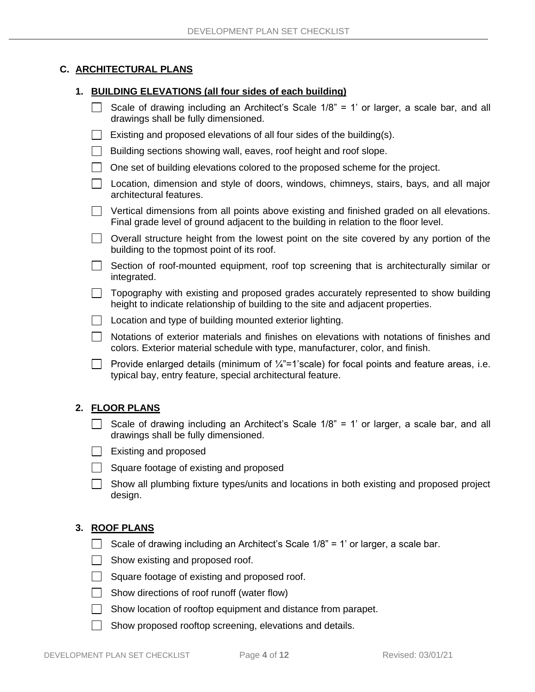## **C. ARCHITECTURAL PLANS**

#### **1. BUILDING ELEVATIONS (all four sides of each building)**

|  | Scale of drawing including an Architect's Scale 1/8" = 1' or larger, a scale bar, and all<br>drawings shall be fully dimensioned.                                                 |
|--|-----------------------------------------------------------------------------------------------------------------------------------------------------------------------------------|
|  | Existing and proposed elevations of all four sides of the building(s).                                                                                                            |
|  | Building sections showing wall, eaves, roof height and roof slope.                                                                                                                |
|  | One set of building elevations colored to the proposed scheme for the project.                                                                                                    |
|  | Location, dimension and style of doors, windows, chimneys, stairs, bays, and all major<br>architectural features.                                                                 |
|  | Vertical dimensions from all points above existing and finished graded on all elevations.<br>Final grade level of ground adjacent to the building in relation to the floor level. |
|  | Overall structure height from the lowest point on the site covered by any portion of the<br>building to the topmost point of its roof.                                            |
|  | Section of roof-mounted equipment, roof top screening that is architecturally similar or<br>integrated.                                                                           |
|  | Topography with existing and proposed grades accurately represented to show building<br>height to indicate relationship of building to the site and adjacent properties.          |
|  | Location and type of building mounted exterior lighting.                                                                                                                          |
|  | Notations of exterior materials and finishes on elevations with notations of finishes and<br>colors. Exterior material schedule with type, manufacturer, color, and finish.       |
|  | Provide enlarged details (minimum of $\frac{1}{4}$ "=1'scale) for focal points and feature areas, i.e.<br>typical bay, entry feature, special architectural feature.              |
|  | <b>2. FLOOR PLANS</b>                                                                                                                                                             |

- Scale of drawing including an Architect's Scale  $1/8$ " = 1' or larger, a scale bar, and all drawings shall be fully dimensioned.
- $\Box$  Existing and proposed
- $\Box$  Square footage of existing and proposed
- $\Box$  Show all plumbing fixture types/units and locations in both existing and proposed project design.

## **3. ROOF PLANS**

- Scale of drawing including an Architect's Scale  $1/8$ " = 1' or larger, a scale bar.
- $\Box$  Show existing and proposed roof.
- $\Box$  Square footage of existing and proposed roof.
- $\Box$  Show directions of roof runoff (water flow)
- Show location of rooftop equipment and distance from parapet.
- $\Box$  Show proposed rooftop screening, elevations and details.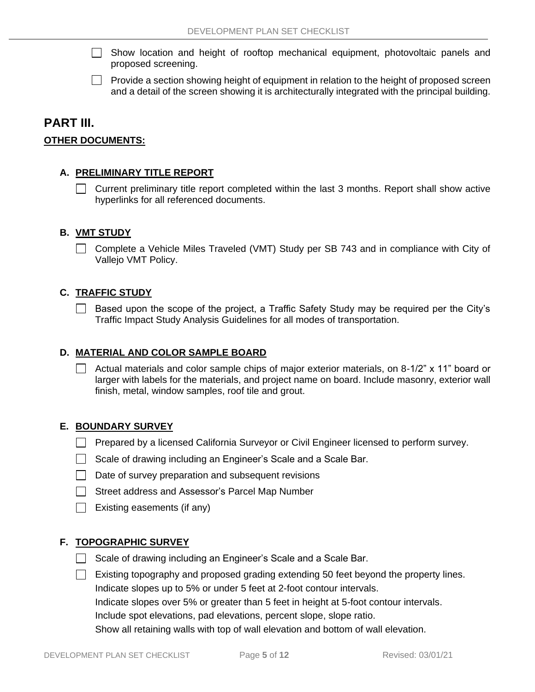- Show location and height of rooftop mechanical equipment, photovoltaic panels and  $\mathbf{1}$ proposed screening.
- **Provide a section showing height of equipment in relation to the height of proposed screen** and a detail of the screen showing it is architecturally integrated with the principal building.

## **PART III.**

### **OTHER DOCUMENTS:**

#### **A. PRELIMINARY TITLE REPORT**

 $\Box$  Current preliminary title report completed within the last 3 months. Report shall show active hyperlinks for all referenced documents.

#### **B. VMT STUDY**

Complete a Vehicle Miles Traveled (VMT) Study per SB 743 and in compliance with City of Vallejo VMT Policy.

#### **C. TRAFFIC STUDY**

 $\Box$ Based upon the scope of the project, a Traffic Safety Study may be required per the City's Traffic Impact Study Analysis Guidelines for all modes of transportation.

#### **D. MATERIAL AND COLOR SAMPLE BOARD**

 $\Box$  Actual materials and color sample chips of major exterior materials, on 8-1/2" x 11" board or larger with labels for the materials, and project name on board. Include masonry, exterior wall finish, metal, window samples, roof tile and grout.

#### **E. BOUNDARY SURVEY**

- **Prepared by a licensed California Surveyor or Civil Engineer licensed to perform survey.**
- $\Box$  Scale of drawing including an Engineer's Scale and a Scale Bar.
- $\Box$  Date of survey preparation and subsequent revisions
- Street address and Assessor's Parcel Map Number
- $\Box$  Existing easements (if any)

#### **F. TOPOGRAPHIC SURVEY**

Scale of drawing including an Engineer's Scale and a Scale Bar.

 $\Box$  Existing topography and proposed grading extending 50 feet beyond the property lines. Indicate slopes up to 5% or under 5 feet at 2-foot contour intervals. Indicate slopes over 5% or greater than 5 feet in height at 5-foot contour intervals.

Include spot elevations, pad elevations, percent slope, slope ratio.

Show all retaining walls with top of wall elevation and bottom of wall elevation.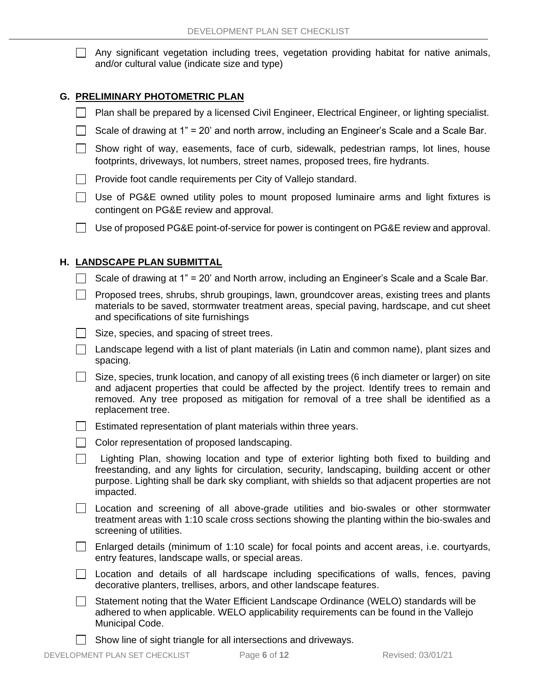$\mathbf{1}$ Any significant vegetation including trees, vegetation providing habitat for native animals, and/or cultural value (indicate size and type)

#### **G. PRELIMINARY PHOTOMETRIC PLAN**

- **Plan shall be prepared by a licensed Civil Engineer, Electrical Engineer, or lighting specialist.**
- Scale of drawing at 1" = 20' and north arrow, including an Engineer's Scale and a Scale Bar.
- $\Box$  Show right of way, easements, face of curb, sidewalk, pedestrian ramps, lot lines, house footprints, driveways, lot numbers, street names, proposed trees, fire hydrants.
- $\Box$  Provide foot candle requirements per City of Vallejo standard.
- □ Use of PG&E owned utility poles to mount proposed luminaire arms and light fixtures is contingent on PG&E review and approval.
- $\Box$  Use of proposed PG&E point-of-service for power is contingent on PG&E review and approval.

#### **H. LANDSCAPE PLAN SUBMITTAL**

- Scale of drawing at 1" = 20' and North arrow, including an Engineer's Scale and a Scale Bar.
- $\Box$  Proposed trees, shrubs, shrub groupings, lawn, groundcover areas, existing trees and plants materials to be saved, stormwater treatment areas, special paving, hardscape, and cut sheet and specifications of site furnishings
- $\Box$  Size, species, and spacing of street trees.
- $\Box$  Landscape legend with a list of plant materials (in Latin and common name), plant sizes and spacing.
- Size, species, trunk location, and canopy of all existing trees (6 inch diameter or larger) on site and adjacent properties that could be affected by the project. Identify trees to remain and removed. Any tree proposed as mitigation for removal of a tree shall be identified as a replacement tree.
- **Estimated representation of plant materials within three years.**
- $\Box$  Color representation of proposed landscaping.
- Lighting Plan, showing location and type of exterior lighting both fixed to building and  $\Box$ freestanding, and any lights for circulation, security, landscaping, building accent or other purpose. Lighting shall be dark sky compliant, with shields so that adjacent properties are not impacted.
- Location and screening of all above-grade utilities and bio-swales or other stormwater treatment areas with 1:10 scale cross sections showing the planting within the bio-swales and screening of utilities.
- Enlarged details (minimum of 1:10 scale) for focal points and accent areas, i.e. courtyards, entry features, landscape walls, or special areas.
- $\Box$  Location and details of all hardscape including specifications of walls, fences, paving decorative planters, trellises, arbors, and other landscape features.
- $\Box$  Statement noting that the Water Efficient Landscape Ordinance (WELO) standards will be adhered to when applicable. WELO applicability requirements can be found in the Vallejo Municipal Code.
- Show line of sight triangle for all intersections and driveways.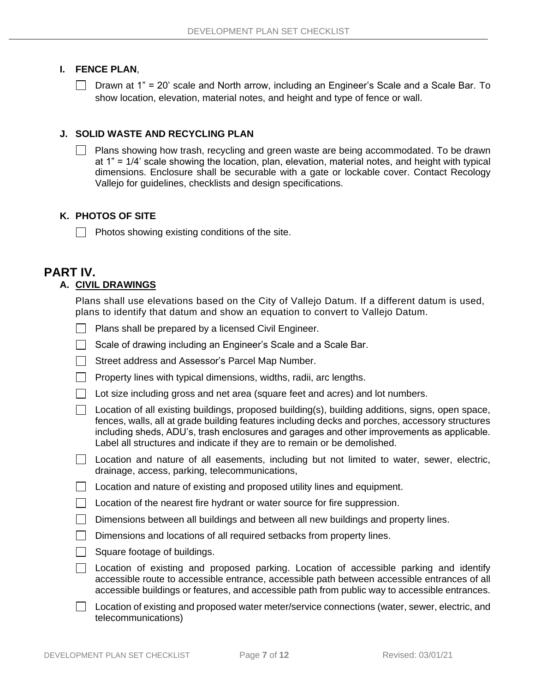#### **I. FENCE PLAN**,

Drawn at 1" = 20' scale and North arrow, including an Engineer's Scale and a Scale Bar. To show location, elevation, material notes, and height and type of fence or wall.

#### **J. SOLID WASTE AND RECYCLING PLAN**

 Plans showing how trash, recycling and green waste are being accommodated. To be drawn at 1" = 1/4' scale showing the location, plan, elevation, material notes, and height with typical dimensions. Enclosure shall be securable with a gate or lockable cover. Contact Recology Vallejo for guidelines, checklists and design specifications.

#### **K. PHOTOS OF SITE**

 $\Box$  Photos showing existing conditions of the site.

## **PART IV.**

## **A. CIVIL DRAWINGS**

Plans shall use elevations based on the City of Vallejo Datum. If a different datum is used, plans to identify that datum and show an equation to convert to Vallejo Datum.

- Plans shall be prepared by a licensed Civil Engineer.
- Scale of drawing including an Engineer's Scale and a Scale Bar.
- Street address and Assessor's Parcel Map Number.
- Property lines with typical dimensions, widths, radii, arc lengths.
- $\Box$  Lot size including gross and net area (square feet and acres) and lot numbers.
- $\Box$  Location of all existing buildings, proposed building(s), building additions, signs, open space, fences, walls, all at grade building features including decks and porches, accessory structures including sheds, ADU's, trash enclosures and garages and other improvements as applicable. Label all structures and indicate if they are to remain or be demolished.
- Location and nature of all easements, including but not limited to water, sewer, electric,  $\mathbf{1}$ drainage, access, parking, telecommunications,
- $\Box$  Location and nature of existing and proposed utility lines and equipment.
- $\Box$  Location of the nearest fire hydrant or water source for fire suppression.
- Dimensions between all buildings and between all new buildings and property lines.
- Dimensions and locations of all required setbacks from property lines.
- $\Box$  Square footage of buildings.
- $\Box$  Location of existing and proposed parking. Location of accessible parking and identify accessible route to accessible entrance, accessible path between accessible entrances of all accessible buildings or features, and accessible path from public way to accessible entrances.
- Location of existing and proposed water meter/service connections (water, sewer, electric, and telecommunications)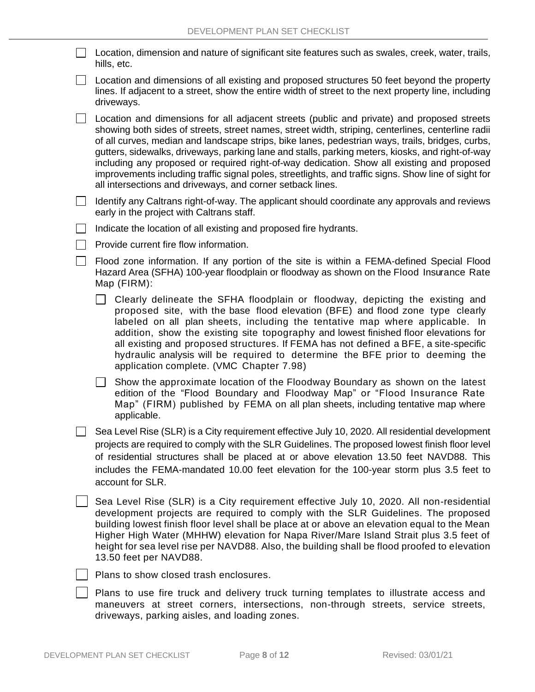| □ Location, dimension and nature of significant site features such as swales, creek, water, trails, |  |
|-----------------------------------------------------------------------------------------------------|--|
| hills, etc.                                                                                         |  |

 $\Box$  Location and dimensions of all existing and proposed structures 50 feet beyond the property lines. If adjacent to a street, show the entire width of street to the next property line, including driveways.

Location and dimensions for all adjacent streets (public and private) and proposed streets showing both sides of streets, street names, street width, striping, centerlines, centerline radii of all curves, median and landscape strips, bike lanes, pedestrian ways, trails, bridges, curbs, gutters, sidewalks, driveways, parking lane and stalls, parking meters, kiosks, and right-of-way including any proposed or required right-of-way dedication. Show all existing and proposed improvements including traffic signal poles, streetlights, and traffic signs. Show line of sight for all intersections and driveways, and corner setback lines.

 $\Box$  Identify any Caltrans right-of-way. The applicant should coordinate any approvals and reviews early in the project with Caltrans staff.

- $\Box$  Indicate the location of all existing and proposed fire hydrants.
- | Provide current fire flow information.
- Flood zone information. If any portion of the site is within a FEMA-defined Special Flood Hazard Area (SFHA) 100-year floodplain or floodway as shown on the Flood Insurance Rate Map (FIRM):
	- $\Box$  Clearly delineate the SFHA floodplain or floodway, depicting the existing and proposed site, with the base flood elevation (BFE) and flood zone type clearly labeled on all plan sheets, including the tentative map where applicable. In addition, show the existing site topography and lowest finished floor elevations for all existing and proposed structures. If FEMA has not defined a BFE, a site-specific hydraulic analysis will be required to determine the BFE prior to deeming the application complete. (VMC Chapter 7.98)

 $\Box$  Show the approximate location of the Floodway Boundary as shown on the latest edition of the "Flood Boundary and Floodway Map" or "Flood Insurance Rate Map" (FIRM) published by FEMA on all plan sheets, including tentative map where applicable.

 $\Box$  Sea Level Rise (SLR) is a City requirement effective July 10, 2020. All residential development projects are required to comply with the SLR Guidelines. The proposed lowest finish floor level of residential structures shall be placed at or above elevation 13.50 feet NAVD88. This includes the FEMA-mandated 10.00 feet elevation for the 100-year storm plus 3.5 feet to account for SLR.

Sea Level Rise (SLR) is a City requirement effective July 10, 2020. All non-residential development projects are required to comply with the SLR Guidelines. The proposed building lowest finish floor level shall be place at or above an elevation equal to the Mean Higher High Water (MHHW) elevation for Napa River/Mare Island Strait plus 3.5 feet of height for sea level rise per NAVD88. Also, the building shall be flood proofed to elevation 13.50 feet per NAVD88.



Plans to use fire truck and delivery truck turning templates to illustrate access and maneuvers at street corners, intersections, non-through streets, service streets, driveways, parking aisles, and loading zones.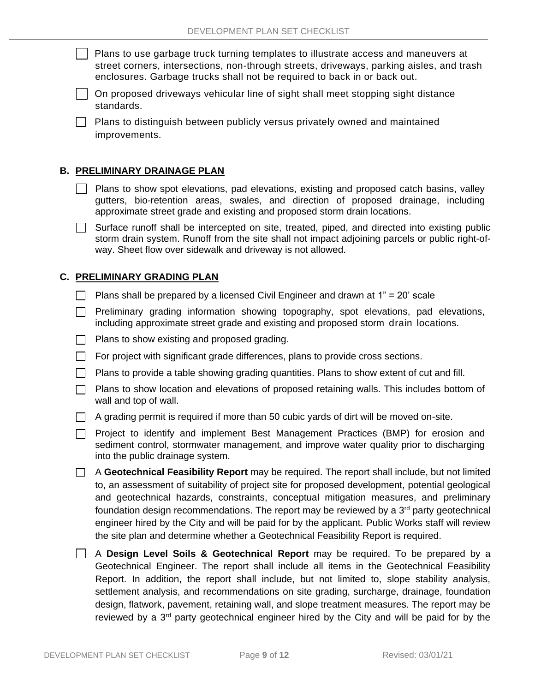Plans to use garbage truck turning templates to illustrate access and maneuvers at street corners, intersections, non-through streets, driveways, parking aisles, and trash enclosures. Garbage trucks shall not be required to back in or back out.

On proposed driveways vehicular line of sight shall meet stopping sight distance standards.

**Plans to distinguish between publicly versus privately owned and maintained** improvements.

#### **B. PRELIMINARY DRAINAGE PLAN**

- Plans to show spot elevations, pad elevations, existing and proposed catch basins, valley gutters, bio-retention areas, swales, and direction of proposed drainage, including approximate street grade and existing and proposed storm drain locations.
- $\Box$  Surface runoff shall be intercepted on site, treated, piped, and directed into existing public storm drain system. Runoff from the site shall not impact adjoining parcels or public right-ofway. Sheet flow over sidewalk and driveway is not allowed.

#### **C. PRELIMINARY GRADING PLAN**

- **Plans shall be prepared by a licensed Civil Engineer and drawn at 1"** = 20' scale
- $\Box$  Preliminary grading information showing topography, spot elevations, pad elevations, including approximate street grade and existing and proposed storm drain locations.
- $\Box$  Plans to show existing and proposed grading.
- $\Box$  For project with significant grade differences, plans to provide cross sections.
- **Plans to provide a table showing grading quantities. Plans to show extent of cut and fill.**
- $\Box$  Plans to show location and elevations of proposed retaining walls. This includes bottom of wall and top of wall.
- $\Box$  A grading permit is required if more than 50 cubic yards of dirt will be moved on-site.
- **Project to identify and implement Best Management Practices (BMP) for erosion and** sediment control, stormwater management, and improve water quality prior to discharging into the public drainage system.
- A **Geotechnical Feasibility Report** may be required. The report shall include, but not limited to, an assessment of suitability of project site for proposed development, potential geological and geotechnical hazards, constraints, conceptual mitigation measures, and preliminary foundation design recommendations. The report may be reviewed by a  $3<sup>rd</sup>$  party geotechnical engineer hired by the City and will be paid for by the applicant. Public Works staff will review the site plan and determine whether a Geotechnical Feasibility Report is required.
- A **Design Level Soils & Geotechnical Report** may be required. To be prepared by a Geotechnical Engineer. The report shall include all items in the Geotechnical Feasibility Report. In addition, the report shall include, but not limited to, slope stability analysis, settlement analysis, and recommendations on site grading, surcharge, drainage, foundation design, flatwork, pavement, retaining wall, and slope treatment measures. The report may be reviewed by a 3<sup>rd</sup> party geotechnical engineer hired by the City and will be paid for by the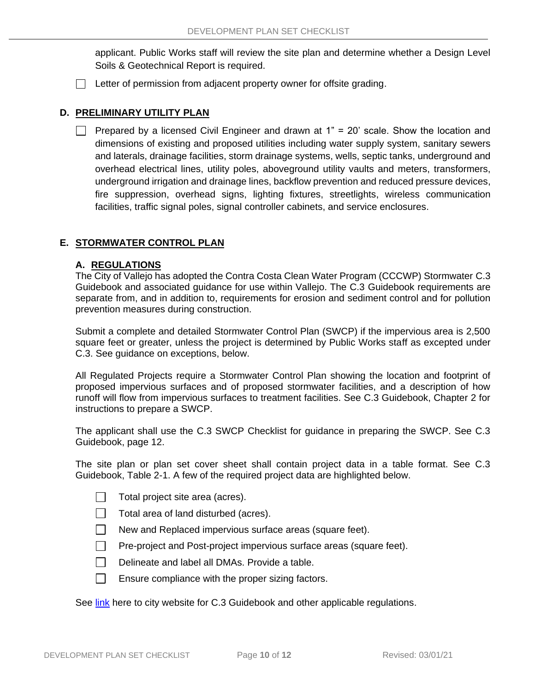applicant. Public Works staff will review the site plan and determine whether a Design Level Soils & Geotechnical Report is required.

 $\Box$  Letter of permission from adjacent property owner for offsite grading.

#### **D. PRELIMINARY UTILITY PLAN**

 $\Box$  Prepared by a licensed Civil Engineer and drawn at 1" = 20' scale. Show the location and dimensions of existing and proposed utilities including water supply system, sanitary sewers and laterals, drainage facilities, storm drainage systems, wells, septic tanks, underground and overhead electrical lines, utility poles, aboveground utility vaults and meters, transformers, underground irrigation and drainage lines, backflow prevention and reduced pressure devices, fire suppression, overhead signs, lighting fixtures, streetlights, wireless communication facilities, traffic signal poles, signal controller cabinets, and service enclosures.

#### **E. STORMWATER CONTROL PLAN**

#### **A. REGULATIONS**

The City of Vallejo has adopted the Contra Costa Clean Water Program (CCCWP) Stormwater C.3 Guidebook and associated guidance for use within Vallejo. The C.3 Guidebook requirements are separate from, and in addition to, requirements for erosion and sediment control and for pollution prevention measures during construction.

Submit a complete and detailed Stormwater Control Plan (SWCP) if the impervious area is 2,500 square feet or greater, unless the project is determined by Public Works staff as excepted under C.3. See guidance on exceptions, below.

All Regulated Projects require a Stormwater Control Plan showing the location and footprint of proposed impervious surfaces and of proposed stormwater facilities, and a description of how runoff will flow from impervious surfaces to treatment facilities. See C.3 Guidebook, Chapter 2 for instructions to prepare a SWCP.

The applicant shall use the C.3 SWCP Checklist for guidance in preparing the SWCP. See C.3 Guidebook, page 12.

The site plan or plan set cover sheet shall contain project data in a table format. See C.3 Guidebook, Table 2-1. A few of the required project data are highlighted below.

- $\Box$ Total project site area (acres).
- $\Box$ Total area of land disturbed (acres).
- $\Box$ New and Replaced impervious surface areas (square feet).
- $\Box$ Pre-project and Post-project impervious surface areas (square feet).
- $\Box$ Delineate and label all DMAs. Provide a table.
- $\Box$ Ensure compliance with the proper sizing factors.

See [link](https://www.cityofvallejo.net/city_hall/departments___divisions/public_works/engineering_division/stormwater_regulatory_information) here to city website for C.3 Guidebook and other applicable regulations.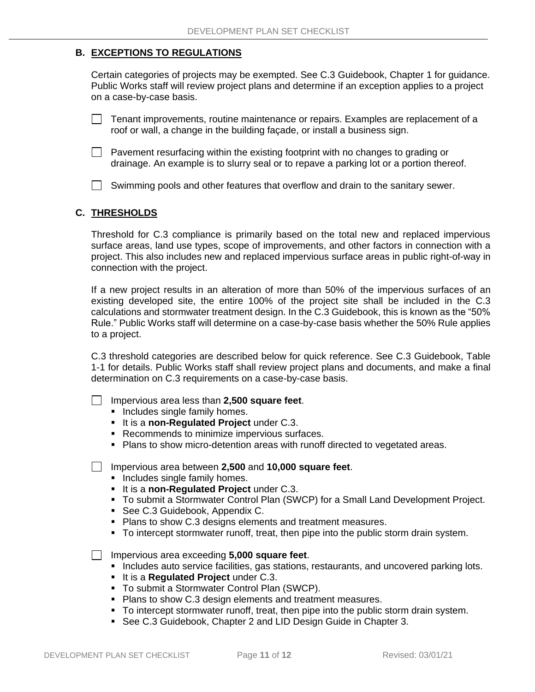### **B. EXCEPTIONS TO REGULATIONS**

Certain categories of projects may be exempted. See C.3 Guidebook, Chapter 1 for guidance. Public Works staff will review project plans and determine if an exception applies to a project on a case-by-case basis.

 $\Box$  Tenant improvements, routine maintenance or repairs. Examples are replacement of a roof or wall, a change in the building façade, or install a business sign.

- $\Box$  Pavement resurfacing within the existing footprint with no changes to grading or drainage. An example is to slurry seal or to repave a parking lot or a portion thereof.
- $\Box$  Swimming pools and other features that overflow and drain to the sanitary sewer.

#### **C. THRESHOLDS**

Threshold for C.3 compliance is primarily based on the total new and replaced impervious surface areas, land use types, scope of improvements, and other factors in connection with a project. This also includes new and replaced impervious surface areas in public right-of-way in connection with the project.

If a new project results in an alteration of more than 50% of the impervious surfaces of an existing developed site, the entire 100% of the project site shall be included in the C.3 calculations and stormwater treatment design. In the C.3 Guidebook, this is known as the "50% Rule." Public Works staff will determine on a case-by-case basis whether the 50% Rule applies to a project.

C.3 threshold categories are described below for quick reference. See C.3 Guidebook, Table 1-1 for details. Public Works staff shall review project plans and documents, and make a final determination on C.3 requirements on a case-by-case basis.

- Impervious area less than **2,500 square feet**.
	- **Includes single family homes.**
	- It is a **non-Regulated Project** under C.3.
	- Recommends to minimize impervious surfaces.
	- **Plans to show micro-detention areas with runoff directed to vegetated areas.**

Impervious area between **2,500** and **10,000 square feet**.

- $\overline{\phantom{a}}$  includes single family homes.
- It is a **non-Regulated Project** under C.3.
- To submit a Stormwater Control Plan (SWCP) for a Small Land Development Project.
- See C.3 Guidebook, Appendix C.
- Plans to show C.3 designs elements and treatment measures.
- To intercept stormwater runoff, treat, then pipe into the public storm drain system.

Impervious area exceeding **5,000 square feet**.

- **Includes auto service facilities, gas stations, restaurants, and uncovered parking lots.**
- It is a **Regulated Project** under C.3.
- To submit a Stormwater Control Plan (SWCP).
- **Plans to show C.3 design elements and treatment measures.**
- To intercept stormwater runoff, treat, then pipe into the public storm drain system.
- See C.3 Guidebook, Chapter 2 and LID Design Guide in Chapter 3.